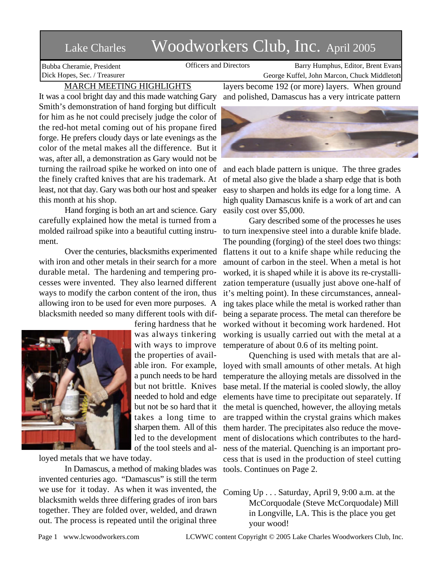## Lake Charles Woodworkers Club, Inc. April 2005

Bubba Cheramie, President Dick Hopes, Sec. / Treasurer

Officers and Directors Barry Humphus, Editor, Brent Evans George Kuffel, John Marcon, Chuck Middleton

## MARCH MEETING HIGHLIGHTS

It was a cool bright day and this made watching Gary Smith's demonstration of hand forging but difficult for him as he not could precisely judge the color of the red-hot metal coming out of his propane fired forge. He prefers cloudy days or late evenings as the color of the metal makes all the difference. But it was, after all, a demonstration as Gary would not be turning the railroad spike he worked on into one of the finely crafted knives that are his trademark. At least, not that day. Gary was both our host and speaker this month at his shop.

Hand forging is both an art and science. Gary carefully explained how the metal is turned from a molded railroad spike into a beautiful cutting instrument.

Over the centuries, blacksmiths experimented with iron and other metals in their search for a more durable metal. The hardening and tempering processes were invented. They also learned different ways to modify the carbon content of the iron, thus allowing iron to be used for even more purposes. A blacksmith needed so many different tools with dif-



fering hardness that he was always tinkering with ways to improve the properties of available iron. For example, a punch needs to be hard but not brittle. Knives needed to hold and edge but not be so hard that it takes a long time to sharpen them. All of this led to the development of the tool steels and al-

loyed metals that we have today.

In Damascus, a method of making blades was invented centuries ago. "Damascus" is still the term we use for it today. As when it was invented, the blacksmith welds three differing grades of iron bars together. They are folded over, welded, and drawn out. The process is repeated until the original three

layers become 192 (or more) layers. When ground and polished, Damascus has a very intricate pattern



and each blade pattern is unique. The three grades of metal also give the blade a sharp edge that is both easy to sharpen and holds its edge for a long time. A high quality Damascus knife is a work of art and can easily cost over \$5,000.

Gary described some of the processes he uses to turn inexpensive steel into a durable knife blade. The pounding (forging) of the steel does two things: flattens it out to a knife shape while reducing the amount of carbon in the steel. When a metal is hot worked, it is shaped while it is above its re-crystallization temperature (usually just above one-half of it's melting point). In these circumstances, annealing takes place while the metal is worked rather than being a separate process. The metal can therefore be worked without it becoming work hardened. Hot working is usually carried out with the metal at a temperature of about 0.6 of its melting point.

Quenching is used with metals that are alloyed with small amounts of other metals. At high temperature the alloying metals are dissolved in the base metal. If the material is cooled slowly, the alloy elements have time to precipitate out separately. If the metal is quenched, however, the alloying metals are trapped within the crystal grains which makes them harder. The precipitates also reduce the movement of dislocations which contributes to the hardness of the material. Quenching is an important process that is used in the production of steel cutting tools. Continues on Page 2.

Coming Up . . . Saturday, April 9, 9:00 a.m. at the McCorquodale (Steve McCorquodale) Mill in Longville, LA. This is the place you get your wood!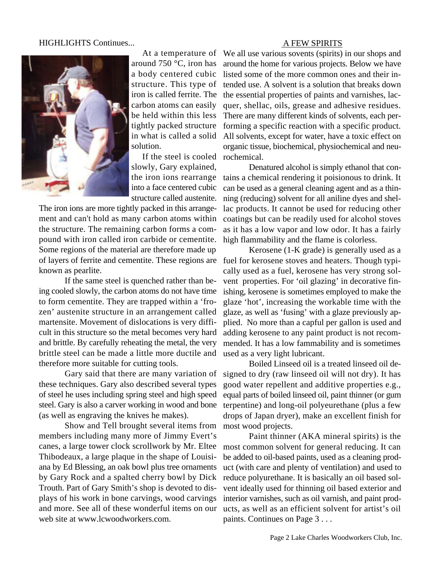## HIGHLIGHTS Continues...



At a temperature of around 750 °C, iron has a body centered cubic structure. This type of iron is called ferrite. The carbon atoms can easily be held within this less tightly packed structure in what is called a solid solution.

If the steel is cooled rochemical. slowly, Gary explained, the iron ions rearrange into a face centered cubic structure called austenite.

The iron ions are more tightly packed in this arrangement and can't hold as many carbon atoms within the structure. The remaining carbon forms a compound with iron called iron carbide or cementite. Some regions of the material are therefore made up known as pearlite.

If the same steel is quenched rather than being cooled slowly, the carbon atoms do not have time to form cementite. They are trapped within a 'frozen' austenite structure in an arrangement called martensite. Movement of dislocations is very difficult in this structure so the metal becomes very hard and brittle. By carefully reheating the metal, the very brittle steel can be made a little more ductile and therefore more suitable for cutting tools.

Gary said that there are many variation of these techniques. Gary also described several types of steel he uses including spring steel and high speed steel. Gary is also a carver working in wood and bone (as well as engraving the knives he makes).

Show and Tell brought several items from members including many more of Jimmy Evert's canes, a large tower clock scrollwork by Mr. Eltee Thibodeaux, a large plaque in the shape of Louisiana by Ed Blessing, an oak bowl plus tree ornaments by Gary Rock and a spalted cherry bowl by Dick Trouth. Part of Gary Smith's shop is devoted to displays of his work in bone carvings, wood carvings and more. See all of these wonderful items on our web site at www.lcwoodworkers.com.

## A FEW SPIRITS

We all use various sovents (spirits) in our shops and around the home for various projects. Below we have listed some of the more common ones and their intended use. A solvent is a solution that breaks down the essential properties of paints and varnishes, lacquer, shellac, oils, grease and adhesive residues. There are many different kinds of solvents, each performing a specific reaction with a specific product. All solvents, except for water, have a toxic effect on organic tissue, biochemical, physiochemical and neu-

Denatured alcohol is simply ethanol that contains a chemical rendering it poisionous to drink. It can be used as a general cleaning agent and as a thinning (reducing) solvent for all aniline dyes and shellac products. It cannot be used for reducing other coatings but can be readily used for alcohol stoves as it has a low vapor and low odor. It has a fairly high flammability and the flame is colorless.

of layers of ferrite and cementite. These regions are fuel for kerosene stoves and heaters. Though typi-Kerosene (1-K grade) is generally used as a cally used as a fuel, kerosene has very strong solvent properties. For 'oil glazing' in decorative finishing, kerosene is sometimes employed to make the glaze 'hot', increasing the workable time with the glaze, as well as 'fusing' with a glaze previously applied. No more than a capful per gallon is used and adding kerosene to any paint product is not recommended. It has a low fammability and is sometimes used as a very light lubricant.

> Boiled Linseed oil is a treated linseed oil designed to dry (raw linseed oil will not dry). It has good water repellent and additive properties e.g., equal parts of boiled linseed oil, paint thinner (or gum terpentine) and long-oil polyeurethane (plus a few drops of Japan dryer), make an excellent finish for most wood projects.

> Paint thinner (AKA mineral spirits) is the most common solvent for general reducing. It can be added to oil-based paints, used as a cleaning product (with care and plenty of ventilation) and used to reduce polyurethane. It is basically an oil based solvent ideally used for thinning oil based exterior and interior varnishes, such as oil varnish, and paint products, as well as an efficient solvent for artist's oil paints. Continues on Page 3 . . .